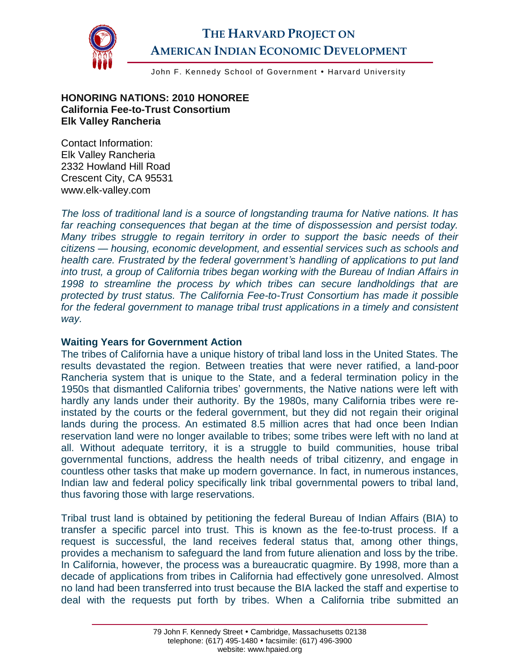

# **THE HARVARD PROJECT ON AMERICAN INDIAN ECONOMIC DEVELOPMENT**

John F. Kennedy School of Government . Harvard University

**HONORING NATIONS: 2010 HONOREE California Fee-to-Trust Consortium Elk Valley Rancheria**

Contact Information: Elk Valley Rancheria 2332 Howland Hill Road Crescent City, CA 95531 www.elk-valley.com

*The loss of traditional land is a source of longstanding trauma for Native nations. It has far reaching consequences that began at the time of dispossession and persist today. Many tribes struggle to regain territory in order to support the basic needs of their citizens — housing, economic development, and essential services such as schools and health care. Frustrated by the federal government's handling of applications to put land into trust, a group of California tribes began working with the Bureau of Indian Affairs in 1998 to streamline the process by which tribes can secure landholdings that are protected by trust status. The California Fee-to-Trust Consortium has made it possible for the federal government to manage tribal trust applications in a timely and consistent way.*

#### **Waiting Years for Government Action**

The tribes of California have a unique history of tribal land loss in the United States. The results devastated the region. Between treaties that were never ratified, a land-poor Rancheria system that is unique to the State, and a federal termination policy in the 1950s that dismantled California tribes' governments, the Native nations were left with hardly any lands under their authority. By the 1980s, many California tribes were reinstated by the courts or the federal government, but they did not regain their original lands during the process. An estimated 8.5 million acres that had once been Indian reservation land were no longer available to tribes; some tribes were left with no land at all. Without adequate territory, it is a struggle to build communities, house tribal governmental functions, address the health needs of tribal citizenry, and engage in countless other tasks that make up modern governance. In fact, in numerous instances, Indian law and federal policy specifically link tribal governmental powers to tribal land, thus favoring those with large reservations.

Tribal trust land is obtained by petitioning the federal Bureau of Indian Affairs (BIA) to transfer a specific parcel into trust. This is known as the fee-to-trust process. If a request is successful, the land receives federal status that, among other things, provides a mechanism to safeguard the land from future alienation and loss by the tribe. In California, however, the process was a bureaucratic quagmire. By 1998, more than a decade of applications from tribes in California had effectively gone unresolved. Almost no land had been transferred into trust because the BIA lacked the staff and expertise to deal with the requests put forth by tribes. When a California tribe submitted an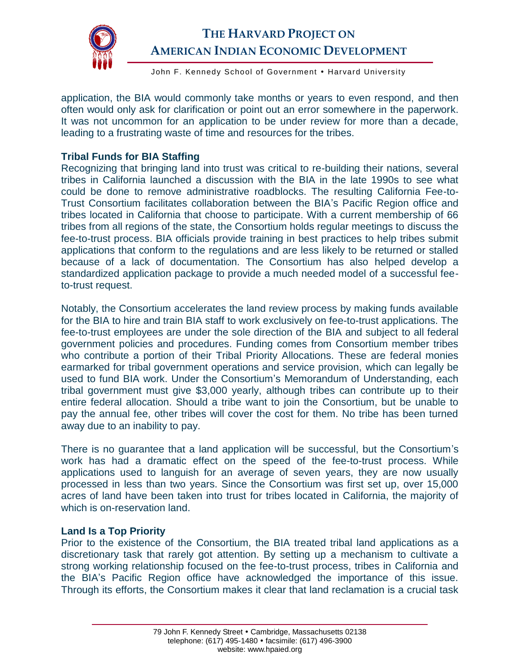

## **THE HARVARD PROJECT ON AMERICAN INDIAN ECONOMIC DEVELOPMENT**

John F. Kennedy School of Government • Harvard University

application, the BIA would commonly take months or years to even respond, and then often would only ask for clarification or point out an error somewhere in the paperwork. It was not uncommon for an application to be under review for more than a decade, leading to a frustrating waste of time and resources for the tribes.

### **Tribal Funds for BIA Staffing**

Recognizing that bringing land into trust was critical to re-building their nations, several tribes in California launched a discussion with the BIA in the late 1990s to see what could be done to remove administrative roadblocks. The resulting California Fee-to-Trust Consortium facilitates collaboration between the BIA's Pacific Region office and tribes located in California that choose to participate. With a current membership of 66 tribes from all regions of the state, the Consortium holds regular meetings to discuss the fee-to-trust process. BIA officials provide training in best practices to help tribes submit applications that conform to the regulations and are less likely to be returned or stalled because of a lack of documentation. The Consortium has also helped develop a standardized application package to provide a much needed model of a successful feeto-trust request.

Notably, the Consortium accelerates the land review process by making funds available for the BIA to hire and train BIA staff to work exclusively on fee-to-trust applications. The fee-to-trust employees are under the sole direction of the BIA and subject to all federal government policies and procedures. Funding comes from Consortium member tribes who contribute a portion of their Tribal Priority Allocations. These are federal monies earmarked for tribal government operations and service provision, which can legally be used to fund BIA work. Under the Consortium's Memorandum of Understanding, each tribal government must give \$3,000 yearly, although tribes can contribute up to their entire federal allocation. Should a tribe want to join the Consortium, but be unable to pay the annual fee, other tribes will cover the cost for them. No tribe has been turned away due to an inability to pay.

There is no guarantee that a land application will be successful, but the Consortium's work has had a dramatic effect on the speed of the fee-to-trust process. While applications used to languish for an average of seven years, they are now usually processed in less than two years. Since the Consortium was first set up, over 15,000 acres of land have been taken into trust for tribes located in California, the majority of which is on-reservation land.

#### **Land Is a Top Priority**

Prior to the existence of the Consortium, the BIA treated tribal land applications as a discretionary task that rarely got attention. By setting up a mechanism to cultivate a strong working relationship focused on the fee-to-trust process, tribes in California and the BIA's Pacific Region office have acknowledged the importance of this issue. Through its efforts, the Consortium makes it clear that land reclamation is a crucial task